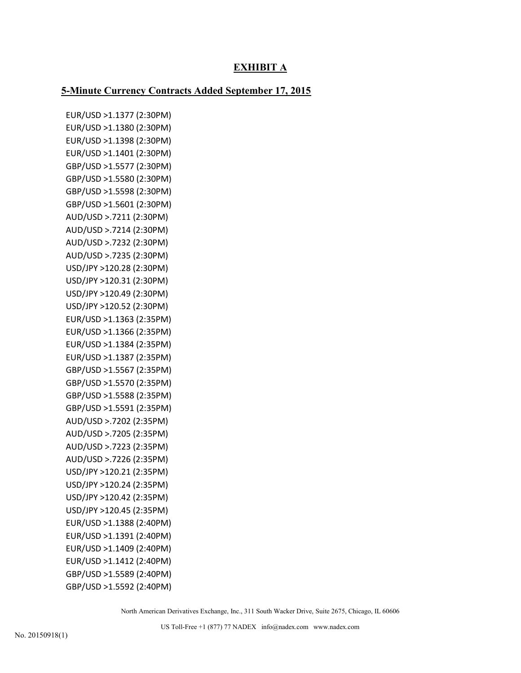# **EXHIBIT A**

### **5-Minute Currency Contracts Added September 17, 2015**

EUR/USD >1.1377 (2:30PM) EUR/USD >1.1380 (2:30PM) EUR/USD >1.1398 (2:30PM) EUR/USD >1.1401 (2:30PM) GBP/USD >1.5577 (2:30PM) GBP/USD >1.5580 (2:30PM) GBP/USD >1.5598 (2:30PM) GBP/USD >1.5601 (2:30PM) AUD/USD >.7211 (2:30PM) AUD/USD >.7214 (2:30PM) AUD/USD >.7232 (2:30PM) AUD/USD >.7235 (2:30PM) USD/JPY >120.28 (2:30PM) USD/JPY >120.31 (2:30PM) USD/JPY >120.49 (2:30PM) USD/JPY >120.52 (2:30PM) EUR/USD >1.1363 (2:35PM) EUR/USD >1.1366 (2:35PM) EUR/USD >1.1384 (2:35PM) EUR/USD >1.1387 (2:35PM) GBP/USD >1.5567 (2:35PM) GBP/USD >1.5570 (2:35PM) GBP/USD >1.5588 (2:35PM) GBP/USD >1.5591 (2:35PM) AUD/USD >.7202 (2:35PM) AUD/USD >.7205 (2:35PM) AUD/USD >.7223 (2:35PM) AUD/USD >.7226 (2:35PM) USD/JPY >120.21 (2:35PM) USD/JPY >120.24 (2:35PM) USD/JPY >120.42 (2:35PM) USD/JPY >120.45 (2:35PM) EUR/USD >1.1388 (2:40PM) EUR/USD >1.1391 (2:40PM) EUR/USD >1.1409 (2:40PM) EUR/USD >1.1412 (2:40PM) GBP/USD >1.5589 (2:40PM) GBP/USD >1.5592 (2:40PM)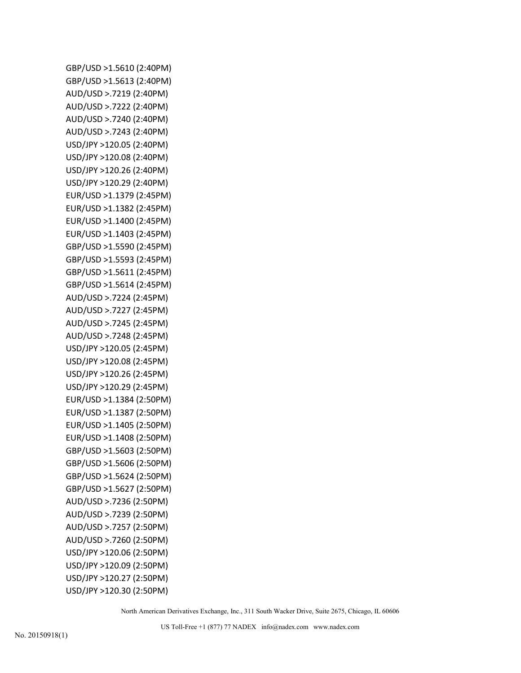GBP/USD >1.5610 (2:40PM) GBP/USD >1.5613 (2:40PM) AUD/USD >.7219 (2:40PM) AUD/USD >.7222 (2:40PM) AUD/USD >.7240 (2:40PM) AUD/USD >.7243 (2:40PM) USD/JPY >120.05 (2:40PM) USD/JPY >120.08 (2:40PM) USD/JPY >120.26 (2:40PM) USD/JPY >120.29 (2:40PM) EUR/USD >1.1379 (2:45PM) EUR/USD >1.1382 (2:45PM) EUR/USD >1.1400 (2:45PM) EUR/USD >1.1403 (2:45PM) GBP/USD >1.5590 (2:45PM) GBP/USD >1.5593 (2:45PM) GBP/USD >1.5611 (2:45PM) GBP/USD >1.5614 (2:45PM) AUD/USD >.7224 (2:45PM) AUD/USD >.7227 (2:45PM) AUD/USD >.7245 (2:45PM) AUD/USD >.7248 (2:45PM) USD/JPY >120.05 (2:45PM) USD/JPY >120.08 (2:45PM) USD/JPY >120.26 (2:45PM) USD/JPY >120.29 (2:45PM) EUR/USD >1.1384 (2:50PM) EUR/USD >1.1387 (2:50PM) EUR/USD >1.1405 (2:50PM) EUR/USD >1.1408 (2:50PM) GBP/USD >1.5603 (2:50PM) GBP/USD >1.5606 (2:50PM) GBP/USD >1.5624 (2:50PM) GBP/USD >1.5627 (2:50PM) AUD/USD >.7236 (2:50PM) AUD/USD >.7239 (2:50PM) AUD/USD >.7257 (2:50PM) AUD/USD >.7260 (2:50PM) USD/JPY >120.06 (2:50PM) USD/JPY >120.09 (2:50PM) USD/JPY >120.27 (2:50PM) USD/JPY >120.30 (2:50PM)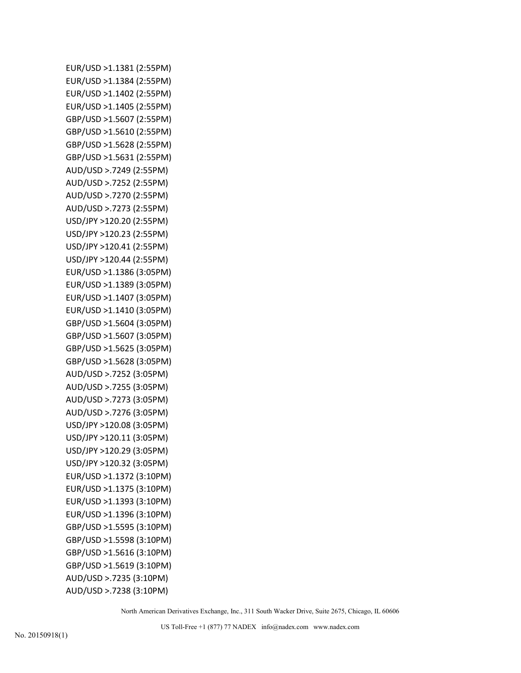EUR/USD >1.1381 (2:55PM) EUR/USD >1.1384 (2:55PM) EUR/USD >1.1402 (2:55PM) EUR/USD >1.1405 (2:55PM) GBP/USD >1.5607 (2:55PM) GBP/USD >1.5610 (2:55PM) GBP/USD >1.5628 (2:55PM) GBP/USD >1.5631 (2:55PM) AUD/USD >.7249 (2:55PM) AUD/USD >.7252 (2:55PM) AUD/USD >.7270 (2:55PM) AUD/USD >.7273 (2:55PM) USD/JPY >120.20 (2:55PM) USD/JPY >120.23 (2:55PM) USD/JPY >120.41 (2:55PM) USD/JPY >120.44 (2:55PM) EUR/USD >1.1386 (3:05PM) EUR/USD >1.1389 (3:05PM) EUR/USD >1.1407 (3:05PM) EUR/USD >1.1410 (3:05PM) GBP/USD >1.5604 (3:05PM) GBP/USD >1.5607 (3:05PM) GBP/USD >1.5625 (3:05PM) GBP/USD >1.5628 (3:05PM) AUD/USD >.7252 (3:05PM) AUD/USD >.7255 (3:05PM) AUD/USD >.7273 (3:05PM) AUD/USD >.7276 (3:05PM) USD/JPY >120.08 (3:05PM) USD/JPY >120.11 (3:05PM) USD/JPY >120.29 (3:05PM) USD/JPY >120.32 (3:05PM) EUR/USD >1.1372 (3:10PM) EUR/USD >1.1375 (3:10PM) EUR/USD >1.1393 (3:10PM) EUR/USD >1.1396 (3:10PM) GBP/USD >1.5595 (3:10PM) GBP/USD >1.5598 (3:10PM) GBP/USD >1.5616 (3:10PM) GBP/USD >1.5619 (3:10PM) AUD/USD >.7235 (3:10PM) AUD/USD >.7238 (3:10PM)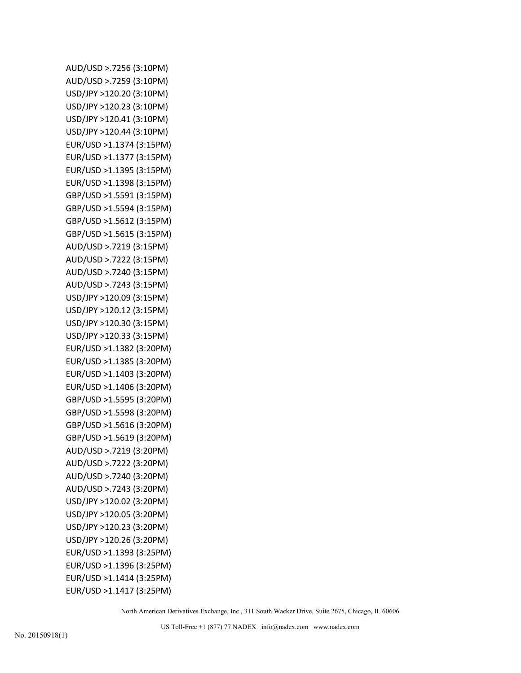AUD/USD >.7256 (3:10PM) AUD/USD >.7259 (3:10PM) USD/JPY >120.20 (3:10PM) USD/JPY >120.23 (3:10PM) USD/JPY >120.41 (3:10PM) USD/JPY >120.44 (3:10PM) EUR/USD >1.1374 (3:15PM) EUR/USD >1.1377 (3:15PM) EUR/USD >1.1395 (3:15PM) EUR/USD >1.1398 (3:15PM) GBP/USD >1.5591 (3:15PM) GBP/USD >1.5594 (3:15PM) GBP/USD >1.5612 (3:15PM) GBP/USD >1.5615 (3:15PM) AUD/USD >.7219 (3:15PM) AUD/USD >.7222 (3:15PM) AUD/USD >.7240 (3:15PM) AUD/USD >.7243 (3:15PM) USD/JPY >120.09 (3:15PM) USD/JPY >120.12 (3:15PM) USD/JPY >120.30 (3:15PM) USD/JPY >120.33 (3:15PM) EUR/USD >1.1382 (3:20PM) EUR/USD >1.1385 (3:20PM) EUR/USD >1.1403 (3:20PM) EUR/USD >1.1406 (3:20PM) GBP/USD >1.5595 (3:20PM) GBP/USD >1.5598 (3:20PM) GBP/USD >1.5616 (3:20PM) GBP/USD >1.5619 (3:20PM) AUD/USD >.7219 (3:20PM) AUD/USD >.7222 (3:20PM) AUD/USD >.7240 (3:20PM) AUD/USD >.7243 (3:20PM) USD/JPY >120.02 (3:20PM) USD/JPY >120.05 (3:20PM) USD/JPY >120.23 (3:20PM) USD/JPY >120.26 (3:20PM) EUR/USD >1.1393 (3:25PM) EUR/USD >1.1396 (3:25PM) EUR/USD >1.1414 (3:25PM) EUR/USD >1.1417 (3:25PM)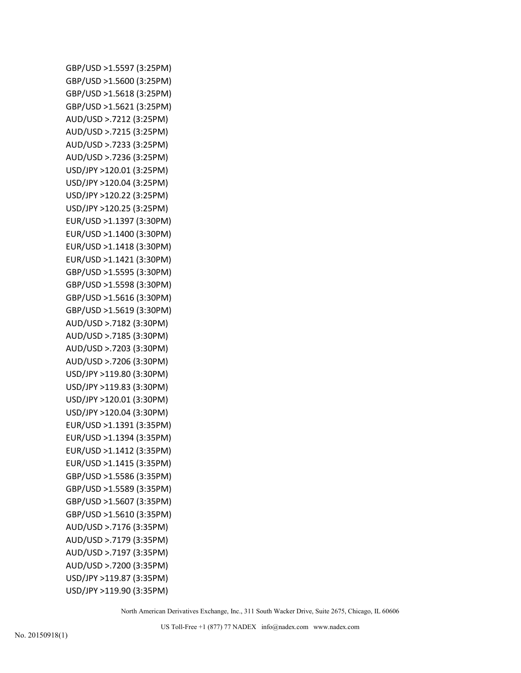GBP/USD >1.5597 (3:25PM) GBP/USD >1.5600 (3:25PM) GBP/USD >1.5618 (3:25PM) GBP/USD >1.5621 (3:25PM) AUD/USD >.7212 (3:25PM) AUD/USD >.7215 (3:25PM) AUD/USD >.7233 (3:25PM) AUD/USD >.7236 (3:25PM) USD/JPY >120.01 (3:25PM) USD/JPY >120.04 (3:25PM) USD/JPY >120.22 (3:25PM) USD/JPY >120.25 (3:25PM) EUR/USD >1.1397 (3:30PM) EUR/USD >1.1400 (3:30PM) EUR/USD >1.1418 (3:30PM) EUR/USD >1.1421 (3:30PM) GBP/USD >1.5595 (3:30PM) GBP/USD >1.5598 (3:30PM) GBP/USD >1.5616 (3:30PM) GBP/USD >1.5619 (3:30PM) AUD/USD >.7182 (3:30PM) AUD/USD >.7185 (3:30PM) AUD/USD >.7203 (3:30PM) AUD/USD >.7206 (3:30PM) USD/JPY >119.80 (3:30PM) USD/JPY >119.83 (3:30PM) USD/JPY >120.01 (3:30PM) USD/JPY >120.04 (3:30PM) EUR/USD >1.1391 (3:35PM) EUR/USD >1.1394 (3:35PM) EUR/USD >1.1412 (3:35PM) EUR/USD >1.1415 (3:35PM) GBP/USD >1.5586 (3:35PM) GBP/USD >1.5589 (3:35PM) GBP/USD >1.5607 (3:35PM) GBP/USD >1.5610 (3:35PM) AUD/USD >.7176 (3:35PM) AUD/USD >.7179 (3:35PM) AUD/USD >.7197 (3:35PM) AUD/USD >.7200 (3:35PM) USD/JPY >119.87 (3:35PM) USD/JPY >119.90 (3:35PM)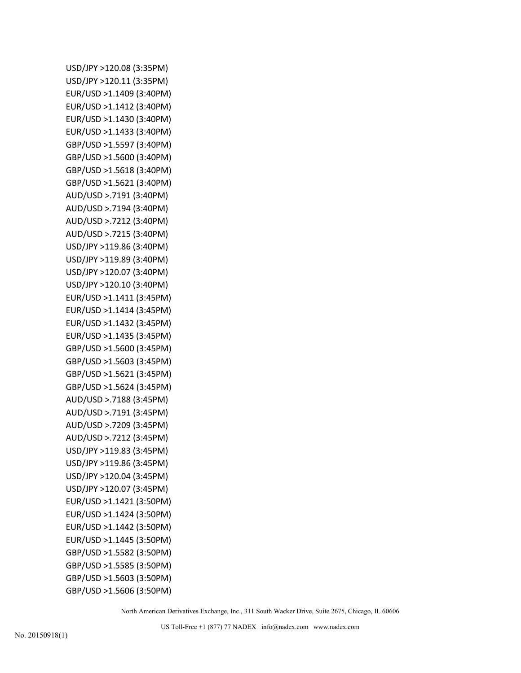USD/JPY >120.08 (3:35PM) USD/JPY >120.11 (3:35PM) EUR/USD >1.1409 (3:40PM) EUR/USD >1.1412 (3:40PM) EUR/USD >1.1430 (3:40PM) EUR/USD >1.1433 (3:40PM) GBP/USD >1.5597 (3:40PM) GBP/USD >1.5600 (3:40PM) GBP/USD >1.5618 (3:40PM) GBP/USD >1.5621 (3:40PM) AUD/USD >.7191 (3:40PM) AUD/USD >.7194 (3:40PM) AUD/USD >.7212 (3:40PM) AUD/USD >.7215 (3:40PM) USD/JPY >119.86 (3:40PM) USD/JPY >119.89 (3:40PM) USD/JPY >120.07 (3:40PM) USD/JPY >120.10 (3:40PM) EUR/USD >1.1411 (3:45PM) EUR/USD >1.1414 (3:45PM) EUR/USD >1.1432 (3:45PM) EUR/USD >1.1435 (3:45PM) GBP/USD >1.5600 (3:45PM) GBP/USD >1.5603 (3:45PM) GBP/USD >1.5621 (3:45PM) GBP/USD >1.5624 (3:45PM) AUD/USD >.7188 (3:45PM) AUD/USD >.7191 (3:45PM) AUD/USD >.7209 (3:45PM) AUD/USD >.7212 (3:45PM) USD/JPY >119.83 (3:45PM) USD/JPY >119.86 (3:45PM) USD/JPY >120.04 (3:45PM) USD/JPY >120.07 (3:45PM) EUR/USD >1.1421 (3:50PM) EUR/USD >1.1424 (3:50PM) EUR/USD >1.1442 (3:50PM) EUR/USD >1.1445 (3:50PM) GBP/USD >1.5582 (3:50PM) GBP/USD >1.5585 (3:50PM) GBP/USD >1.5603 (3:50PM) GBP/USD >1.5606 (3:50PM)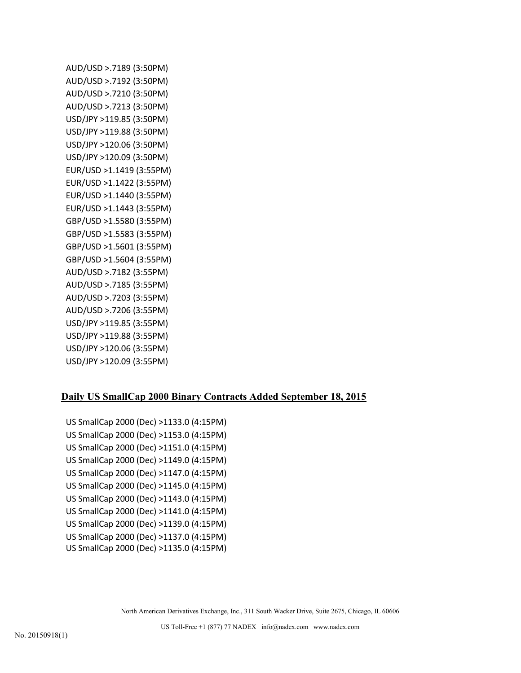AUD/USD >.7189 (3:50PM) AUD/USD >.7192 (3:50PM) AUD/USD >.7210 (3:50PM) AUD/USD >.7213 (3:50PM) USD/JPY >119.85 (3:50PM) USD/JPY >119.88 (3:50PM) USD/JPY >120.06 (3:50PM) USD/JPY >120.09 (3:50PM) EUR/USD >1.1419 (3:55PM) EUR/USD >1.1422 (3:55PM) EUR/USD >1.1440 (3:55PM) EUR/USD >1.1443 (3:55PM) GBP/USD >1.5580 (3:55PM) GBP/USD >1.5583 (3:55PM) GBP/USD >1.5601 (3:55PM) GBP/USD >1.5604 (3:55PM) AUD/USD >.7182 (3:55PM) AUD/USD >.7185 (3:55PM) AUD/USD >.7203 (3:55PM) AUD/USD >.7206 (3:55PM) USD/JPY >119.85 (3:55PM) USD/JPY >119.88 (3:55PM) USD/JPY >120.06 (3:55PM) USD/JPY >120.09 (3:55PM)

## **Daily US SmallCap 2000 Binary Contracts Added September 18, 2015**

US SmallCap 2000 (Dec) >1133.0 (4:15PM) US SmallCap 2000 (Dec) >1153.0 (4:15PM) US SmallCap 2000 (Dec) >1151.0 (4:15PM) US SmallCap 2000 (Dec) >1149.0 (4:15PM) US SmallCap 2000 (Dec) >1147.0 (4:15PM) US SmallCap 2000 (Dec) >1145.0 (4:15PM) US SmallCap 2000 (Dec) >1143.0 (4:15PM) US SmallCap 2000 (Dec) >1141.0 (4:15PM) US SmallCap 2000 (Dec) >1139.0 (4:15PM) US SmallCap 2000 (Dec) >1137.0 (4:15PM) US SmallCap 2000 (Dec) >1135.0 (4:15PM)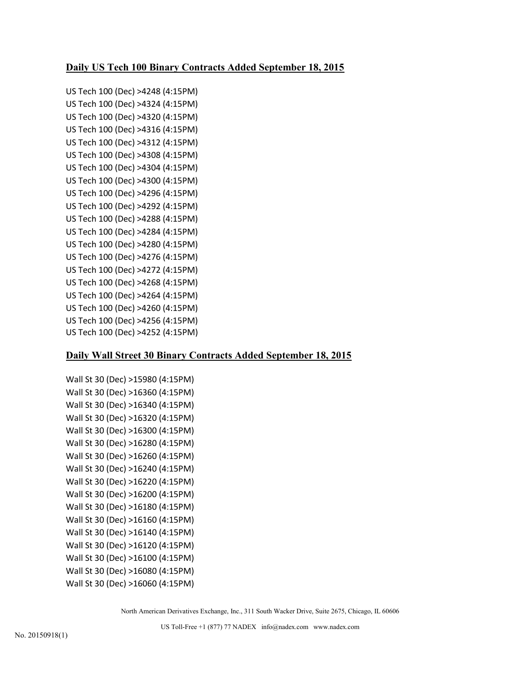## **Daily US Tech 100 Binary Contracts Added September 18, 2015**

US Tech 100 (Dec) >4248 (4:15PM) US Tech 100 (Dec) >4324 (4:15PM) US Tech 100 (Dec) >4320 (4:15PM) US Tech 100 (Dec) >4316 (4:15PM) US Tech 100 (Dec) >4312 (4:15PM) US Tech 100 (Dec) >4308 (4:15PM) US Tech 100 (Dec) >4304 (4:15PM) US Tech 100 (Dec) >4300 (4:15PM) US Tech 100 (Dec) >4296 (4:15PM) US Tech 100 (Dec) >4292 (4:15PM) US Tech 100 (Dec) >4288 (4:15PM) US Tech 100 (Dec) >4284 (4:15PM) US Tech 100 (Dec) >4280 (4:15PM) US Tech 100 (Dec) >4276 (4:15PM) US Tech 100 (Dec) >4272 (4:15PM) US Tech 100 (Dec) >4268 (4:15PM) US Tech 100 (Dec) >4264 (4:15PM) US Tech 100 (Dec) >4260 (4:15PM) US Tech 100 (Dec) >4256 (4:15PM) US Tech 100 (Dec) >4252 (4:15PM)

#### **Daily Wall Street 30 Binary Contracts Added September 18, 2015**

Wall St 30 (Dec) >15980 (4:15PM) Wall St 30 (Dec) >16360 (4:15PM) Wall St 30 (Dec) >16340 (4:15PM) Wall St 30 (Dec) >16320 (4:15PM) Wall St 30 (Dec) >16300 (4:15PM) Wall St 30 (Dec) >16280 (4:15PM) Wall St 30 (Dec) >16260 (4:15PM) Wall St 30 (Dec) >16240 (4:15PM) Wall St 30 (Dec) >16220 (4:15PM) Wall St 30 (Dec) >16200 (4:15PM) Wall St 30 (Dec) >16180 (4:15PM) Wall St 30 (Dec) >16160 (4:15PM) Wall St 30 (Dec) >16140 (4:15PM) Wall St 30 (Dec) >16120 (4:15PM) Wall St 30 (Dec) >16100 (4:15PM) Wall St 30 (Dec) >16080 (4:15PM) Wall St 30 (Dec) >16060 (4:15PM)